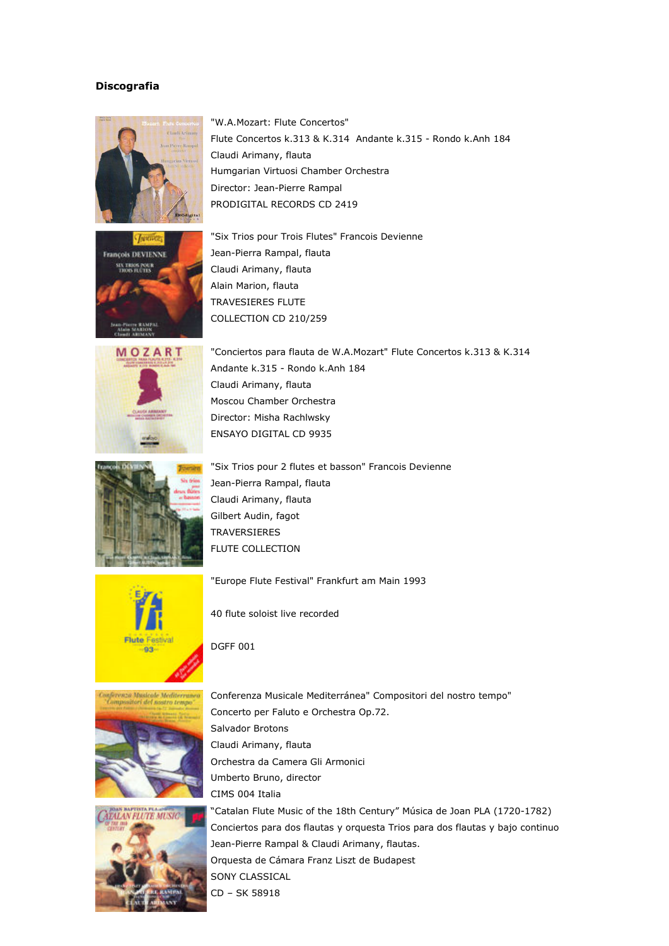## **Discografia**







"Six Trios pour Trois Flutes" Francois Devienne Jean-Pierra Rampal, flauta Claudi Arimany, flauta Alain Marion, flauta TRAVESIERES FLUTE COLLECTION CD 210/259



"Conciertos para flauta de W.A.Mozart" Flute Concertos k.313 & K.314 Andante k.315 - Rondo k.Anh 184 Claudi Arimany, flauta Moscou Chamber Orchestra Director: Misha Rachlwsky ENSAYO DIGITAL CD 9935



"Six Trios pour 2 flutes et basson" Francois Devienne Jean-Pierra Rampal, flauta Claudi Arimany, flauta Gilbert Audin, fagot TRAVERSIERES FLUTE COLLECTION



"Europe Flute Festival" Frankfurt am Main 1993



40 flute soloist live recorded

DGFF 001





Conferenza Musicale Mediterránea" Compositori del nostro tempo" Concerto per Faluto e Orchestra Op.72. Salvador Brotons Claudi Arimany, flauta Orchestra da Camera Gli Armonici Umberto Bruno, director CIMS 004 Italia

"Catalan Flute Music of the 18th Century" Música de Joan PLA (1720-1782) Conciertos para dos flautas y orquesta Trios para dos flautas y bajo continuo Jean-Pierre Rampal & Claudi Arimany, flautas. Orquesta de Cámara Franz Liszt de Budapest SONY CLASSICAL CD – SK 58918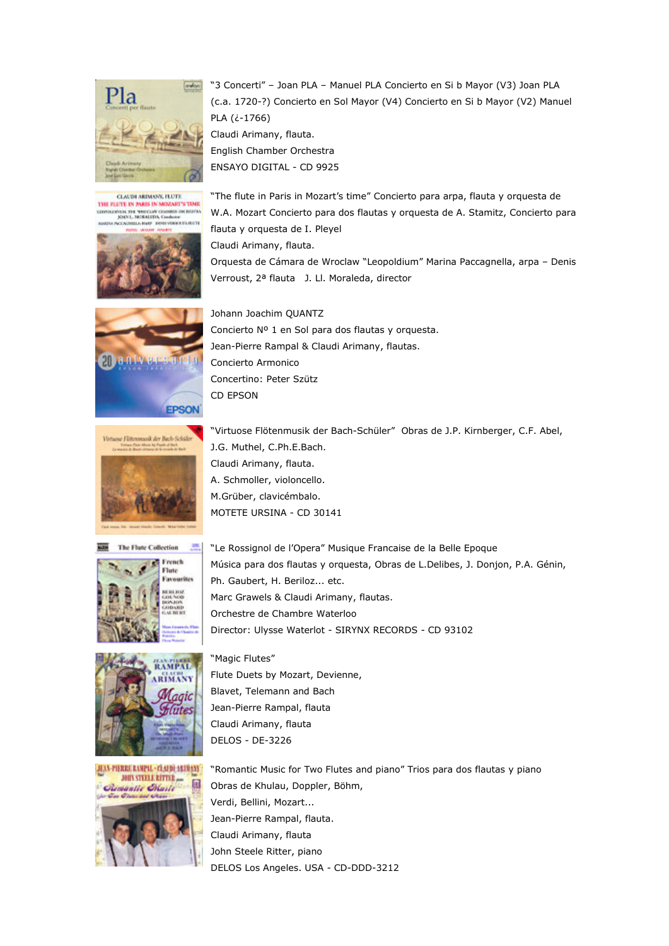

CLAUDI ARIMANY, FLUTE THE FILTE IN PARIS IN MOZART'S TIME<br>LIGOSLIGHT THE VIOLENCIAL DISCUSSION **COURS BUTT** 





"3 Concerti" – Joan PLA – Manuel PLA Concierto en Si b Mayor (V3) Joan PLA (c.a. 1720-?) Concierto en Sol Mayor (V4) Concierto en Si b Mayor (V2) Manuel PLA (¿-1766)

Claudi Arimany, flauta. English Chamber Orchestra ENSAYO DIGITAL - CD 9925

"The flute in Paris in Mozart's time" Concierto para arpa, flauta y orquesta de W.A. Mozart Concierto para dos flautas y orquesta de A. Stamitz, Concierto para flauta y orquesta de I. Pleyel Claudi Arimany, flauta. Orquesta de Cámara de Wroclaw "Leopoldium" Marina Paccagnella, arpa – Denis Verroust, 2ª flauta J. Ll. Moraleda, director

Johann Joachim QUANTZ Concierto Nº 1 en Sol para dos flautas y orquesta. Jean-Pierre Rampal & Claudi Arimany, flautas. Concierto Armonico Concertino: Peter Szütz CD EPSON











J.G. Muthel, C.Ph.E.Bach. Claudi Arimany, flauta. A. Schmoller, violoncello. M.Grüber, clavicémbalo. MOTETE URSINA - CD 30141

"Le Rossignol de l'Opera" Musique Francaise de la Belle Epoque Música para dos flautas y orquesta, Obras de L.Delibes, J. Donjon, P.A. Génin, Ph. Gaubert, H. Beriloz... etc. Marc Grawels & Claudi Arimany, flautas. Orchestre de Chambre Waterloo Director: Ulysse Waterlot - SIRYNX RECORDS - CD 93102

"Magic Flutes" Flute Duets by Mozart, Devienne, Blavet, Telemann and Bach Jean-Pierre Rampal, flauta Claudi Arimany, flauta DELOS - DE-3226

"Romantic Music for Two Flutes and piano" Trios para dos flautas y piano Obras de Khulau, Doppler, Böhm, Verdi, Bellini, Mozart... Jean-Pierre Rampal, flauta. Claudi Arimany, flauta John Steele Ritter, piano DELOS Los Angeles. USA - CD-DDD-3212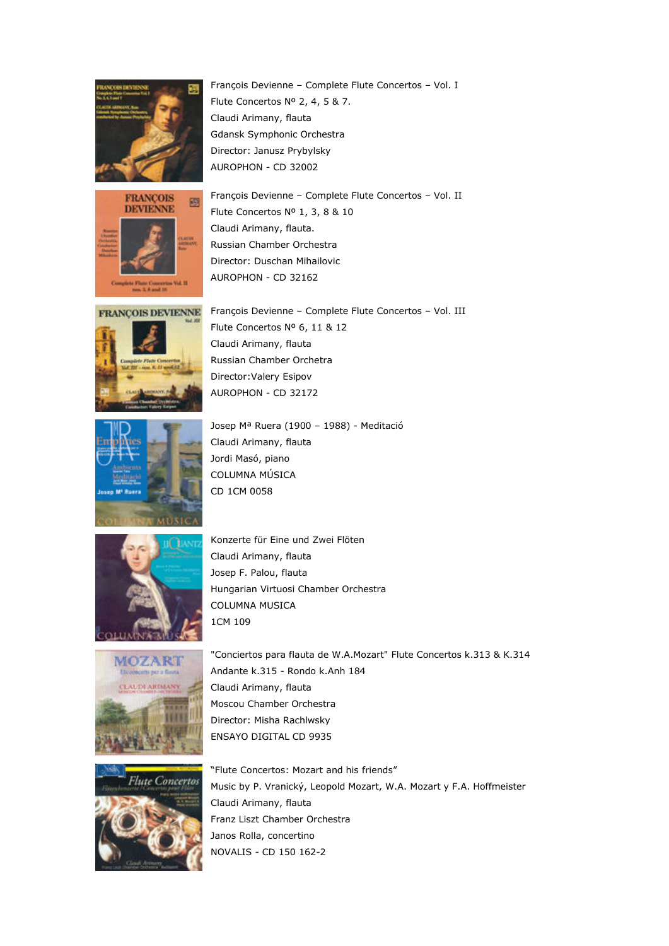



Director: Duschan Mihailovic AUROPHON - CD 32162 François Devienne – Complete Flute Concertos – Vol. III **FRANÇOIS DEVIENNE** Flute Concertos Nº 6, 11 & 12

Claudi Arimany, flauta. Russian Chamber Orchestra

Flute Concertos Nº 2, 4, 5 & 7.

Gdansk Symphonic Orchestra Director: Janusz Prybylsky AUROPHON - CD 32002

Flute Concertos Nº 1, 3, 8 & 10

Claudi Arimany, flauta



Claudi Arimany, flauta Russian Chamber Orchetra Director:Valery Esipov AUROPHON - CD 32172 Josep Mª Ruera (1900 – 1988) - Meditació

François Devienne – Complete Flute Concertos – Vol. I

François Devienne – Complete Flute Concertos – Vol. II



Claudi Arimany, flauta Jordi Masó, piano COLUMNA MÚSICA CD 1CM 0058



Konzerte für Eine und Zwei Flöten Claudi Arimany, flauta Josep F. Palou, flauta Hungarian Virtuosi Chamber Orchestra COLUMNA MUSICA 1CM 109





"Conciertos para flauta de W.A.Mozart" Flute Concertos k.313 & K.314 Andante k.315 - Rondo k.Anh 184 Claudi Arimany, flauta Moscou Chamber Orchestra Director: Misha Rachlwsky ENSAYO DIGITAL CD 9935

"Flute Concertos: Mozart and his friends" Music by P. Vranický, Leopold Mozart, W.A. Mozart y F.A. Hoffmeister Claudi Arimany, flauta Franz Liszt Chamber Orchestra Janos Rolla, concertino NOVALIS - CD 150 162-2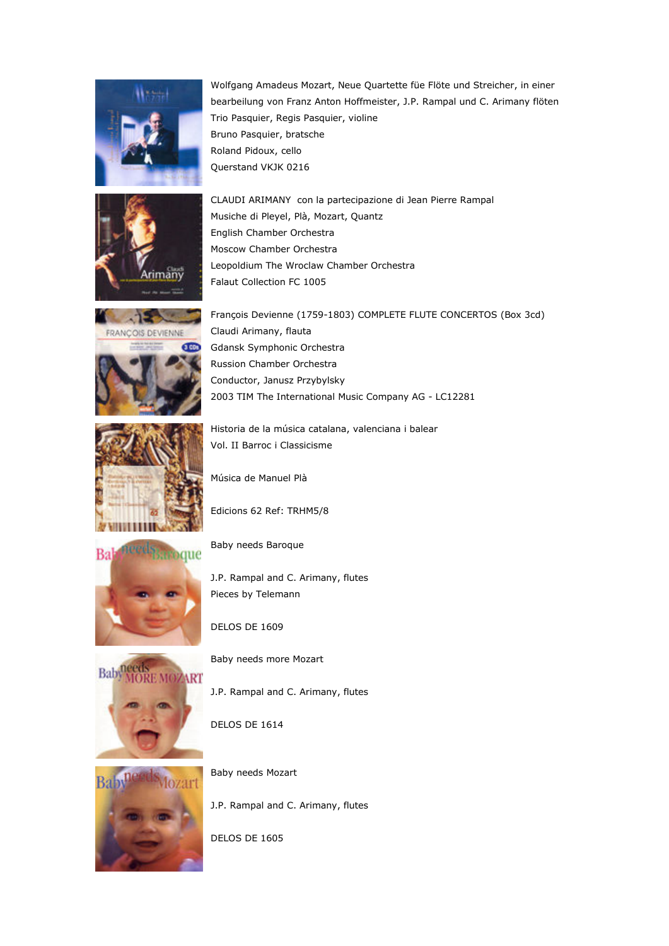



FRANÇOIS DEVIENNE



Historia de la música catalana, valenciana i balear

Música de Manuel Plà



J.P. Rampal and C. Arimany, flutes Pieces by Telemann



Baby needs more Mozart

DELOS DE 1609

J.P. Rampal and C. Arimany, flutes

DELOS DE 1614



Baby needs Mozart

J.P. Rampal and C. Arimany, flutes

DELOS DE 1605

Musiche di Pleyel, Plà, Mozart, Quantz English Chamber Orchestra Moscow Chamber Orchestra Leopoldium The Wroclaw Chamber Orchestra Falaut Collection FC 1005 François Devienne (1759-1803) COMPLETE FLUTE CONCERTOS (Box 3cd)

CLAUDI ARIMANY con la partecipazione di Jean Pierre Rampal

Claudi Arimany, flauta Gdansk Symphonic Orchestra Russion Chamber Orchestra Conductor, Janusz Przybylsky 2003 TIM The International Music Company AG - LC12281

Vol. II Barroc i Classicisme

Bruno Pasquier, bratsche